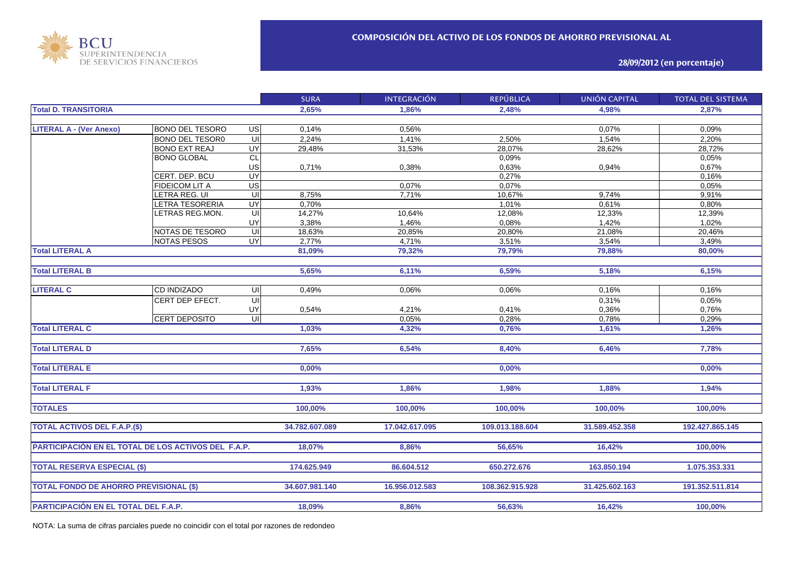

**28/09/2012 (en porcentaje)**

|                                                     |                        |                         | <b>SURA</b>    | <b>INTEGRACIÓN</b> | <b>REPÚBLICA</b> | <b>UNIÓN CAPITAL</b> | <b>TOTAL DEL SISTEMA</b> |
|-----------------------------------------------------|------------------------|-------------------------|----------------|--------------------|------------------|----------------------|--------------------------|
| <b>Total D. TRANSITORIA</b>                         |                        |                         | 2,65%          | 1.86%              | 2,48%            | 4.98%                | 2.87%                    |
|                                                     |                        |                         |                |                    |                  |                      |                          |
| <b>LITERAL A - (Ver Anexo)</b>                      | <b>BONO DEL TESORO</b> | US                      | 0,14%          | 0,56%              |                  | 0,07%                | 0,09%                    |
|                                                     | <b>BONO DEL TESOR0</b> | UI                      | 2,24%          | 1,41%              | 2.50%            | 1,54%                | 2,20%                    |
|                                                     | <b>BONO EXT REAJ</b>   | UY                      | 29,48%         | 31,53%             | 28,07%           | 28,62%               | 28,72%                   |
|                                                     | <b>BONO GLOBAL</b>     | <b>CL</b>               |                |                    | 0,09%            |                      | 0,05%                    |
|                                                     |                        | US                      | 0,71%          | 0,38%              | 0.63%            | 0,94%                | 0,67%                    |
|                                                     | CERT. DEP. BCU         | UY                      |                |                    | 0,27%            |                      | 0,16%                    |
|                                                     | <b>FIDEICOM LIT A</b>  | US                      |                | 0,07%              | 0,07%            |                      | 0,05%                    |
|                                                     | LETRA REG. UI          | UI                      | 8,75%          | 7,71%              | 10,67%           | 9,74%                | 9,91%                    |
|                                                     | <b>ETRA TESORERIA</b>  | UY                      | 0,70%          |                    | 1,01%            | 0,61%                | 0,80%                    |
|                                                     | <b>ETRAS REG.MON.</b>  | $\overline{\mathsf{u}}$ | 14,27%         | 10,64%             | 12,08%           | 12,33%               | 12,39%                   |
|                                                     |                        | UY                      | 3,38%          | 1,46%              | 0,08%            | 1,42%                | 1,02%                    |
|                                                     | NOTAS DE TESORO        | $\overline{U}$          | 18,63%         | 20,85%             | 20,80%           | 21,08%               | 20,46%                   |
|                                                     | <b>NOTAS PESOS</b>     | <b>UY</b>               | 2,77%          | 4,71%              | 3,51%            | 3,54%                | 3,49%                    |
| <b>Total LITERAL A</b>                              |                        |                         | 81,09%         | 79,32%             | 79,79%           | 79,88%               | 80,00%                   |
|                                                     |                        |                         |                |                    |                  |                      |                          |
| <b>Total LITERAL B</b>                              |                        |                         | 5,65%          | 6,11%              | 6,59%            | 5,18%                | 6,15%                    |
|                                                     |                        |                         |                |                    |                  |                      |                          |
| <b>LITERAL C</b>                                    | <b>CD INDIZADO</b>     | UI                      | 0,49%          | 0.06%              | 0,06%            | 0.16%                | 0,16%                    |
|                                                     | CERT DEP EFECT.        | $\overline{\mathsf{c}}$ |                |                    |                  | 0,31%                | 0,05%                    |
|                                                     |                        | UY                      | 0,54%          | 4,21%              | 0,41%            | 0,36%                | 0,76%                    |
|                                                     | <b>CERT DEPOSITO</b>   | $\subseteq$             |                | 0,05%              | 0,28%            | 0,78%                | 0,29%                    |
| <b>Total LITERAL C</b>                              |                        |                         | 1,03%          | 4,32%              | 0,76%            | 1,61%                | 1,26%                    |
|                                                     |                        |                         |                |                    |                  |                      |                          |
| <b>Total LITERAL D</b>                              |                        |                         | 7,65%          | 6,54%              | 8,40%            | 6,46%                | 7,78%                    |
|                                                     |                        |                         |                |                    |                  |                      |                          |
| <b>Total LITERAL E</b>                              |                        |                         | 0,00%          |                    | 0,00%            |                      | 0.00%                    |
|                                                     |                        |                         |                |                    |                  |                      |                          |
| <b>Total LITERAL F</b>                              |                        |                         | 1,93%          | 1,86%              | 1,98%            | 1,88%                | 1,94%                    |
|                                                     |                        |                         |                |                    |                  |                      |                          |
| <b>TOTALES</b>                                      |                        |                         | 100,00%        | 100,00%            | 100,00%          | 100,00%              | 100,00%                  |
|                                                     |                        |                         |                |                    |                  |                      |                          |
| <b>TOTAL ACTIVOS DEL F.A.P.(\$)</b>                 |                        |                         | 34.782.607.089 | 17.042.617.095     | 109.013.188.604  | 31.589.452.358       | 192.427.865.145          |
|                                                     |                        |                         |                |                    |                  |                      |                          |
| PARTICIPACIÓN EN EL TOTAL DE LOS ACTIVOS DEL F.A.P. |                        |                         | 18,07%         | 8,86%              | 56,65%           | 16,42%               | 100,00%                  |
|                                                     |                        |                         |                |                    |                  |                      |                          |
| <b>TOTAL RESERVA ESPECIAL (\$)</b>                  |                        |                         | 174.625.949    | 86.604.512         | 650.272.676      | 163.850.194          | 1.075.353.331            |
|                                                     |                        |                         |                |                    |                  |                      |                          |
| <b>TOTAL FONDO DE AHORRO PREVISIONAL (\$)</b>       |                        |                         | 34.607.981.140 | 16.956.012.583     | 108.362.915.928  | 31.425.602.163       | 191.352.511.814          |
|                                                     |                        |                         |                |                    |                  |                      |                          |
| PARTICIPACIÓN EN EL TOTAL DEL F.A.P.                |                        |                         | 18,09%         | 8,86%              | 56,63%           | 16,42%               | 100,00%                  |
|                                                     |                        |                         |                |                    |                  |                      |                          |

NOTA: La suma de cifras parciales puede no coincidir con el total por razones de redondeo